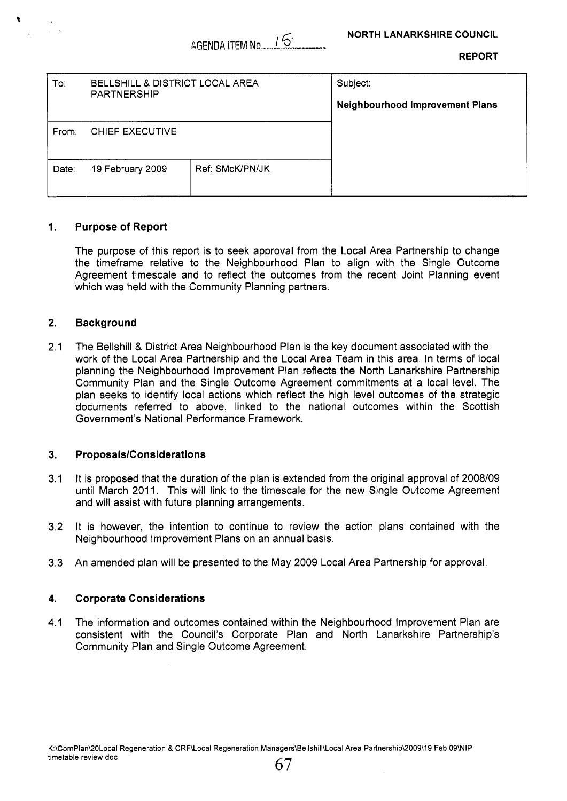| <b>REPORT</b> |  |
|---------------|--|
|               |  |

| To:<br>BELLSHILL & DISTRICT LOCAL AREA<br><b>PARTNERSHIP</b> |                  |                 | Subject:                               |
|--------------------------------------------------------------|------------------|-----------------|----------------------------------------|
|                                                              |                  |                 | <b>Neighbourhood Improvement Plans</b> |
| From:                                                        | CHIEF EXECUTIVE  |                 |                                        |
| Date:                                                        | 19 February 2009 | Ref: SMcK/PN/JK |                                        |

## **1. Purpose of Report**

The purpose of this report is to seek approval from the Local Area Partnership to change the timeframe relative to the Neighbourhood Plan to align with the Single Outcome Agreement timescale and to reflect the outcomes from the recent Joint Planning event which was held with the Community Planning partners.

### **2. Background**

2.1 The Bellshill & District Area Neighbourhood Plan is the key document associated with the work of the Local Area Partnership and the Local Area Team in this area. In terms of local planning the Neighbourhood Improvement Plan reflects the North Lanarkshire Partnership Community Plan and the Single Outcome Agreement commitments at a local level. The plan seeks to identify local actions which reflect the high level outcomes of the strategic documents referred to above, linked to the national outcomes within the Scottish Government's National Performance Framework.

#### **3. ProposalslConsiderations**

- 3.1 It is proposed that the duration of the plan is extended from the original approval of 2008/09 until March 2011. This will link to the timescale for the new Single Outcome Agreement and will assist with future planning arrangements.
- 3.2 It is however, the intention to continue to review the action plans contained with the Neighbourhood Improvement Plans on an annual basis.
- 3.3 An amended plan will be presented to the May 2009 Local Area Partnership for approval.

#### **4. Corporate Considerations**

4.1 The information and outcomes contained within the Neighbourhood Improvement Plan are consistent with the Council's Corporate Plan and North Lanarkshire Partnership's Community Plan and Single Outcome Agreement.